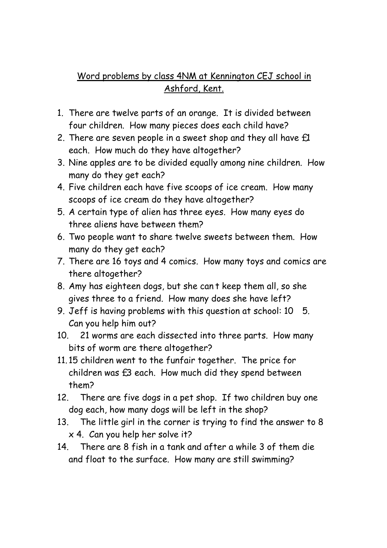## Word problems by class 4NM at Kennington CEJ school in Ashford, Kent.

- 1. There are twelve parts of an orange. It is divided between four children. How many pieces does each child have?
- 2. There are seven people in a sweet shop and they all have  $f1$ each. How much do they have altogether?
- 3. Nine apples are to be divided equally among nine children. How many do they get each?
- 4. Five children each have five scoops of ice cream. How many scoops of ice cream do they have altogether?
- 5. A certain type of alien has three eyes. How many eyes do three aliens have between them?
- 6. Two people want to share twelve sweets between them. How many do they get each?
- 7. There are 16 toys and 4 comics. How many toys and comics are there altogether?
- 8. Amy has eighteen dogs, but she cant keep them all, so she gives three to a friend. How many does she have left?
- 9. Jeff is having problems with this question at school: 10 5. Can you help him out?
- 10. 21 worms are each dissected into three parts. How many bits of worm are there altogether?
- 11. 15 children went to the funfair together. The price for children was £3 each. How much did they spend between them?
- 12. There are five dogs in a pet shop. If two children buy one dog each, how many dogs will be left in the shop?
- 13. The little girl in the corner is trying to find the answer to 8  $x$  4. Can you help her solve it?
- 14. There are 8 fish in a tank and after a while 3 of them die and float to the surface. How many are still swimming?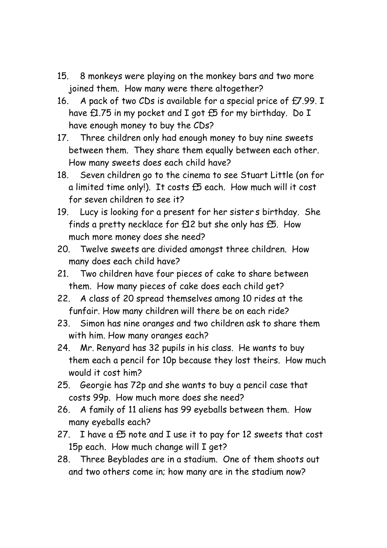- 15. 8 monkeys were playing on the monkey bars and two more joined them. How many were there altogether?
- 16. A pack of two CDs is available for a special price of £7.99. I have £1.75 in my pocket and I got £5 for my birthday. Do I have enough money to buy the CDs?
- 17. Three children only had enough money to buy nine sweets between them. They share them equally between each other. How many sweets does each child have?
- 18. Seven children go to the cinema to see Stuart Little (on for a limited time only!). It costs £5 each. How much will it cost for seven children to see it?
- 19. Lucy is looking for a present for her sisters birthday. She finds a pretty necklace for £12 but she only has £5. How much more money does she need?
- 20. Twelve sweets are divided amongst three children. How many does each child have?
- 21. Two children have four pieces of cake to share between them. How many pieces of cake does each child get?
- 22. A class of 20 spread themselves among 10 rides at the funfair. How many children will there be on each ride?
- 23. Simon has nine oranges and two children ask to share them with him. How many oranges each?
- 24. Mr. Renyard has 32 pupils in his class. He wants to buy them each a pencil for 10p because they lost theirs. How much would it cost him?
- 25. Georgie has 72p and she wants to buy a pencil case that costs 99p. How much more does she need?
- 26. A family of 11 aliens has 99 eyeballs between them. How many eyeballs each?
- 27. I have a  $£5$  note and I use it to pay for 12 sweets that cost 15p each. How much change will I get?
- 28. Three Beyblades are in a stadium. One of them shoots out and two others come in; how many are in the stadium now?